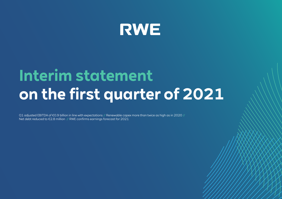

# **Interim statement on the first quarter of 2021**

Q1 adjusted EBITDA of €0.9 billion in line with expectations // Renewable capex more than twice as high as in 2020 / Net debt reduced to €2.8 million // RWE confirms earnings forecast for 2021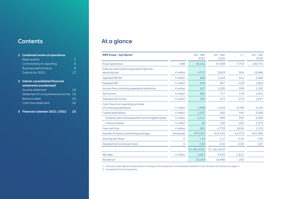## **Contents**

### **1 Combined review of operations** [Major events](#page-2-0) 3 [Commentary on reporting](#page-5-0) 6 [Business performance](#page-7-0) and the state of 8 [Outlook for 2021](#page-16-0) 17 **2 Interim consolidated financial statements (condensed)** [Income statement](#page-17-0) 18 [Statement of comprehensive income](#page-18-0) 19 [Balance sheet](#page-19-0) 20 [Cash flow statement](#page-21-0) 22

#### **3 [Financial calendar 2021 / 2022](#page-22-0) 23**

# At a glance

| <b>RWE Group - key figures</b> <sup>1</sup>                      |                    | $Jan - Mar$<br>2021 | $Jan - Mar$<br>2020 | $+/-$    | $Jan - Dec$<br>2020 |
|------------------------------------------------------------------|--------------------|---------------------|---------------------|----------|---------------------|
| Power generation                                                 | GWh                | 45,191              | 37,448              | 7.743    | 146,775             |
| External revenue (excluding natural gas tax/<br>electricity tax) | $\epsilon$ million | 4.707               | 3,803               | 904      | 13.688              |
| <b>Adjusted EBITDA</b>                                           | $\epsilon$ million | 883                 | 1,324               | $-441$   | 3,286               |
| <b>Adjusted EBIT</b>                                             | $\epsilon$ million | 548                 | 967                 | $-419$   | 1,823               |
| Income from continuing operations before tax                     | $\epsilon$ million | 627                 | 1,026               | $-399$   | 1.265               |
| Net income                                                       | $\epsilon$ million | 895                 | 717                 | 178      | 1.051               |
| Adjusted net income                                              | $\epsilon$ million | 340                 | 614                 | $-274$   | 1,257               |
| Cash flows from operating activities<br>of continuing operations | $\epsilon$ million | 1,596               | $-1,202$            | 2,798    | 4,125               |
| Capital expenditure                                              | $\epsilon$ million | 1,037               | 592                 | 445      | 3,358               |
| Property, plant and equipment and intangible assets              | $\epsilon$ million | 1,011               | 466                 | 545      | 2,285               |
| <b>Financial assets</b>                                          | $\epsilon$ million | 26                  | 126                 | $-100$   | 1,073               |
| Free cash flow                                                   | $\epsilon$ million | 881                 | $-1,753$            | 2,634    | 1,132               |
| Number of shares outstanding (average)                           | thousands          | 676,220             | 614.745             | 61,475   | 637.286             |
| Earnings per share                                               | €                  | 1.32                | 1.17                | 0.15     | 1.65                |
| Adjusted net income per share                                    | €                  | 0.50                | 1.00                | $-0.50$  | 1.97                |
|                                                                  |                    | 31 Mar 2021         | 31 Dec 2020         |          |                     |
| Net debt                                                         | $\epsilon$ million | 2,821               | 4,432               | $-1,611$ |                     |
| Workforce <sup>2</sup>                                           |                    | 19,244              | 19,498              | $-254$   |                     |

1 Some prior-year figures restated due to a change in the recognition of renewable tax benefits in the USA (see commentary on [page 7](#page-6-0)).

2 Converted to full-time positions.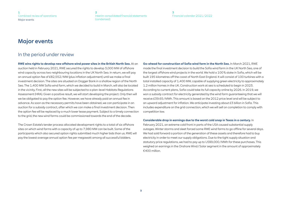<span id="page-2-0"></span>**1** Combined review of operations Major events

**[2](#page-17-0)** [Interim consolidated financial statements](#page-17-0)  [\(condensed\)](#page-17-0)

**[3](#page-22-0)** [Financial calendar 2021 / 2022](#page-22-0)

## Major events

### In the period under review

**RWE wins rights to develop new offshore wind power sites in the British North Sea.** At an auction held in February 2021, RWE secured the rights to develop 3,000 MW of offshore wind capacity across two neighbouring locations in the UK North Sea. In return, we will pay an annual option fee of £82,552 / MW (plus inflation adjustment) until we make a final investment decision. The sites are situated on Dogger Bank in a shallow region of the North Sea. The 1,400 MW Sofia wind farm, which we decided to build in March, will also be located in the vicinity. First, all the new sites will be subjected to a plan-level Habitats Regulations Assessment (HRA). Given a positive result, we will start developing the project. Only then will we be obligated to pay the option fee. However, we have already paid an annual fee in advance. As soon as the necessary permits have been obtained, we can participate in an auction for a subsidy contract, after which we can make a final investment decision. Then the option fee will be replaced by a much lower lease payment. Subject to a timely connection to the grid, the new wind farms could be commissioned towards the end of the decade.

The Crown Estate's tender process allocated development rights to a total of six offshore sites on which wind farms with a capacity of up to 7,980 MW can be built. Some of the participants which also secured option rights submitted much higher bids than us. RWE will pay the lowest average annual option fee per megawatt among all successful bidders.

**Go-ahead for construction of Sofia wind farm in the North Sea.** In March 2021, RWE made the final investment decision to build the Sofia wind farm in the UK North Sea, one of the largest offshore wind projects in the world. We hold a 100 % stake in Sofia, which will be built 195 kilometres off the coast of North East England. It will consist of 100 turbines with a total installed capacity of 1,400 MW, capable of supplying green electricity to approximately 1.2 million homes in the UK. Construction work at sea is scheduled to begin in 2023. According to current plans, Sofia could take its full capacity online by 2026. In 2019, we won a subsidy contract for electricity generated by the wind farm guaranteeing that we will receive £39.65 / MWh. This amount is based on the 2012 price level and will be subject to an upward adjustment for inflation. We anticipate investing about £3 billion in Sofia. This includes expenditure on the grid connection, which we will sell on completion to comply with competition law.

#### **Considerable drop in earnings due to the worst cold snap in Texas in a century.** In

February 2021, an extreme cold front in parts of the USA caused substantial supply outages. Winter storms and sleet forced some RWE wind farms to go offline for several days. We had sold forward a portion of the generation of these assets and therefore had to buy electricity in order to meet our supply obligations. Due to the tight supply situation and statutory price regulations, we had to pay up to US\$9,000 / MWh for these purchases. This weighed on earnings in the Onshore Wind / Solar segment in the amount of approximately €400 million.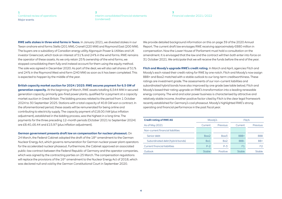#### **[2](#page-17-0)** [Interim consolidated financial statements](#page-17-0)  [\(condensed\)](#page-17-0)

#### **[3](#page-22-0)** [Financial calendar 2021 / 2022](#page-22-0)

<span id="page-3-0"></span>**RWE sells stakes in three wind farms in Texas.** In January 2021, we divested stakes in our Texan onshore wind farms Stella (201 MW), Cranell (220 MW) and Raymond East (200 MW). The buyers are a subsidiary of Canadian energy utility Algonquin Power & Utilities and UK investor Greencoat, which took an interest of 51 % and 24 % in the wind farms. RWE remains the operator of these assets. As we only retain 25 % ownership of the wind farms, we stopped consolidating them fully and instead account for them using the equity method. The sale was agreed in December 2020. As part of the deal, we will also sell shares of 51 % and 24 % in the Raymond West wind farm (240 MW) as soon as it has been completed. This is expected to happen by the middle of the year.

#### **British capacity market auction for 2024 / 2025: RWE secures payment for 6.5 GW of**

**generation capacity.** At the beginning of March, RWE assets totalling 6,544 MW in secured generation capacity, primarily gas-fired power plants, qualified for a payment at a capacity market auction in Great Britain. The bidding process related to the period from 1 October 2024 to 30 September 2025. Stations with a total capacity of 40.8 GW won a contract. In the aforementioned period, these assets will be remunerated for being online and contributing to electricity supply. The capacity payment of £18.00 / kW (plus inflation adjustment), established in the bidding process, was the highest in a long time. The payments for the three preceding 12-month periods (October 2021 to September 2024) are £8.40, £6.44 and £15.97 (plus inflation adjustment).

**German government presents draft law on compensation for nuclear phaseout.** On 24 March, the Federal Cabinet adopted the draft of the 18<sup>th</sup> amendment to the German Nuclear Energy Act, which governs remuneration for German nuclear power plant operators for the accelerated nuclear phaseout. Furthermore, the Cabinet approved an associated public-law contract between the Federal Republic of Germany and the operator companies, which was signed by the contracting parties on 25 March. The compensation regulations will replace the provisions of the 16<sup>th</sup> amendment to the Nuclear Energy Act of 2018, which was declared null and void by the German Constitutional Court in September 2020.

We provide detailed background information on this on page 39 of the 2020 Annual Report. The current draft law envisages RWE receiving approximately €880 million in compensation. Now the Lower House of Parliament must hold a consultation on the amendment. It is envisaged that the law and the contract will then both enter into force on 31 October 2021. We anticipate that we will receive the funds before the end of the year.

**Fitch and Moody's upgrade RWE's credit rating.** In March and April, agencies Fitch and Moody's each raised their credit rating for RWE by one notch. Fitch and Moody's now assign BBB+ and Baa2 matched with a stable outlook to our long-term creditworthiness. These ratings are investment grade. The assessments of our non-current liabilities and subordinated hybrid bonds have also improved by one grade (see table below). Fitch and Moody's based their rating upgrade on RWE's transformation into a leading renewable energy company. The wind and solar power business is characterised by attractive and relatively stable income. Another positive factor cited by Fitch is the clear legal framework recently established for Germany's coal phaseout. Moody's highlighted RWE's strong operating and financial performance in the past fiscal year.

| <b>Credit rating of RWE AG</b>       |         | Moody's         | Fitch          |                 |  |
|--------------------------------------|---------|-----------------|----------------|-----------------|--|
| As of May 2021                       | Current | <b>Previous</b> | Current        | <b>Previous</b> |  |
| Non-current financial liabilities    |         |                 |                |                 |  |
| Senior debt                          | Baa2    | Baa3            | BBB+           | <b>BBB</b>      |  |
| Subordinated debt (hybrid bonds)     | Ba1     | Ba2             | BBB-           | BB+             |  |
| <b>Current financial liabilities</b> | $P-2$   | $P-3$           | F <sub>1</sub> | F <sub>2</sub>  |  |
| Outlook                              | Stable  | Positive        | Stable         | Stable          |  |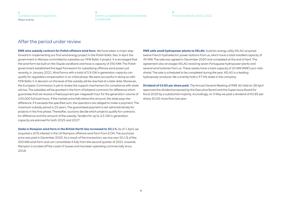**[1](#page-2-0)** [Combined review of operations](#page-2-0) Major events

**[2](#page-17-0)** [Interim consolidated financial statements](#page-17-0)  [\(condensed\)](#page-17-0)

**[3](#page-22-0)** [Financial calendar 2021 / 2022](#page-22-0)

## After the period under review

**RWE wins subsidy contract for Polish offshore wind farm.** We have taken a major step forward in implementing our first wind energy project in the Polish Baltic Sea. In April, the government in Warsaw committed to subsidise our FEW Baltic II project. It is envisaged that the wind farm be built on the Słupsk sandbank and have a capacity of 350 MW. The Polish government established the legal framework for subsidising offshore wind power just recently, in January 2021. Wind farms with a total of 5.9 GW in generation capacity can qualify for regulated compensation in an initial phase. We were successful in doing so with FEW Baltic II. A decision on the level of the subsidy will be reached at a later date. Moreover, the European Commission is yet to review the support mechanism for compliance with state aid law. The subsidies will be granted in the form of bilateral contracts for difference which guarantee that we receive a fixed payment per megawatt hour for the generation volume of 100,000 full load hours. If the market price falls below this amount, the state pays the difference. If it exceeds the specified sum, the operators are obliged to make a payment. The maximum subsidy period is 25 years. The guaranteed payment is set administratively for projects in the first phase. Thereafter, auctions decide which projects qualify for contracts for difference and the amount of the subsidy. Tenders for up to 2.5 GW in generation capacity are planned for both 2025 and 2027.

**Stake in Rampion wind farm in the British North Sea increased to 50.1 %.** As of 1 April, we acquired a 20 % interest in the UK Rampion offshore wind farm from E.ON. The purchase price was paid in December 2020. As a result of the transaction, we now own 50.1 % of the 400 MW wind farm and can consolidate it fully from the second quarter of 2021 onwards. Rampion is located off the coast of Sussex and has been operating commercially since 2018.

**RWE sells small hydropower plants to KELAG.** Austrian energy utility KELAG acquired twelve French hydroelectric power stations from us, which have a total installed capacity of 45 MW. The sale was agreed in December 2020 and completed at the end of April. The agreement also envisages KELAG receiving seven Portuguese hydropower plants and several wind turbines from us. These assets have a total capacity of 20 MW (RWE's pro-rata share). The sale is scheduled to be completed during the year. KELAG is a leading hydropower producer. We currently hold a 37.9 % stake in the company.

**Dividend of €0.85 per share paid.** The Annual General Meeting of RWE AG held on 28 April approved the dividend proposed by the Executive Board and the Supervisory Board for fiscal 2020 by a substantial majority. Accordingly, on 3 May we paid a dividend of €0.85 per share, €0.05 more than last year.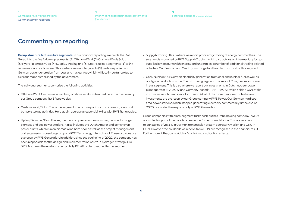## <span id="page-5-0"></span>Commentary on reporting

**Group structure features five segments.** In our financial reporting, we divide the RWE Group into the five following segments: (1) Offshore Wind, (2) Onshore Wind / Solar, (3) Hydro / Biomass / Gas, (4) Supply & Trading and (5) Coal / Nuclear. Segments (1) to (4) represent our core business. This is where we want to grow. In (5), we have pooled our German power generation from coal and nuclear fuel, which will lose importance due to exit roadmaps established by the government.

The individual segments comprise the following activities:

- Offshore Wind: Our business involving offshore wind is subsumed here. It is overseen by our Group company RWE Renewables.
- Onshore Wind / Solar: This is the segment in which we pool our onshore wind, solar and battery storage activities. Here again, operating responsibility lies with RWE Renewables.
- Hydro / Biomass / Gas: This segment encompasses our run-of-river, pumped storage, biomass and gas power stations. It also includes the Dutch Amer 9 and Eemshaven power plants, which run on biomass and hard coal, as well as the project management and engineering consulting company RWE Technology International. These activities are overseen by RWE Generation. In addition, since the beginning of 2021, the company has been responsible for the design and implementation of RWE's hydrogen strategy. Our 37.9 % stake in the Austrian energy utility KELAG is also assigned to this segment.
- Supply & Trading: This is where we report proprietary trading of energy commodities. The segment is managed by RWE Supply & Trading, which also acts as an intermediary for gas, supplies key accounts with energy, and undertakes a number of additional trading-related activities. Our German and Czech gas storage facilities also form part of this segment.
- Coal / Nuclear: Our German electricity generation from coal and nuclear fuel as well as our lignite production in the Rhenish mining region to the west of Cologne are subsumed in this segment. This is also where we report our investments in Dutch nuclear power plant operator EPZ (30 %) and Germany-based URANIT (50 %), which holds a 33 % stake in uranium enrichment specialist Urenco. Most of the aforementioned activities and investments are overseen by our Group company RWE Power. Our German hard coalfired power stations, which stopped generating electricity commercially at the end of 2020, are under the responsibility of RWE Generation.

Group companies with cross-segment tasks such as the Group holding company RWE AG are stated as part of the core business under 'other, consolidation'. This also applies to our stakes of 25.1 % in German transmission system operator Amprion and 15 % in E.ON. However, the dividends we receive from E.ON are recognised in the financial result. Furthermore, 'other, consolidation' contains consolidation effects.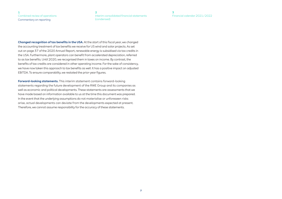#### <span id="page-6-0"></span>**[1](#page-2-0)** [Combined review of operations](#page-2-0) Commentary on reporting

**[2](#page-17-0)** [Interim consolidated financial statements](#page-17-0)  [\(condensed\)](#page-17-0)

**[3](#page-22-0)** [Financial calendar 2021 / 2022](#page-22-0)

**Changed recognition of tax benefits in the USA.** At the start of this fiscal year, we changed the accounting treatment of tax benefits we receive for US wind and solar projects. As set out on page 37 of the 2020 Annual Report, renewable energy is subsidised via tax credits in the USA. Furthermore, plant operators can benefit from accelerated depreciation, referred to as tax benefits. Until 2020, we recognised them in taxes on income. By contrast, the benefits of tax credits are considered in other operating income. For the sake of consistency, we have now taken this approach to tax benefits as well. It has a positive impact on adjusted EBITDA. To ensure comparability, we restated the prior-year figures.

**Forward-looking statements.** This interim statement contains forward-looking statements regarding the future development of the RWE Group and its companies as well as economic and political developments. These statements are assessments that we have made based on information available to us at the time this document was prepared. In the event that the underlying assumptions do not materialise or unforeseen risks arise, actual developments can deviate from the developments expected at present. Therefore, we cannot assume responsibility for the accuracy of these statements.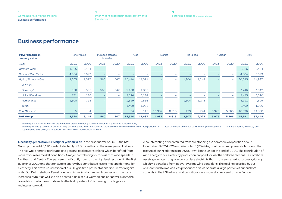## <span id="page-7-0"></span>Business performance

| <b>Power generation</b><br><b>January - March</b> |       | <b>Renewables</b> |      | Pumped storage,<br><b>batteries</b> |        | Gas                      |        | Lignite                  |       | Hard coal                |       | <b>Nuclear</b>           | Total <sup>1</sup> |        |
|---------------------------------------------------|-------|-------------------|------|-------------------------------------|--------|--------------------------|--------|--------------------------|-------|--------------------------|-------|--------------------------|--------------------|--------|
| <b>GWh</b>                                        | 2021  | 2020              | 2021 | 2020                                | 2021   | 2020                     | 2021   | 2020                     | 2021  | 2020                     | 2021  | 2020                     | 2021               | 2020   |
| <b>Offshore Wind</b>                              | 1,826 | 2,464             |      | $\overline{\phantom{0}}$            |        | $\overline{\phantom{a}}$ |        | $\overline{\phantom{0}}$ |       | $\overline{\phantom{a}}$ |       | <b>-</b>                 | 1,826              | 2,464  |
| Onshore Wind/Solar                                | 4,684 | 5,099             |      | $\overline{\phantom{a}}$            |        | $\overline{\phantom{a}}$ |        | $\overline{\phantom{0}}$ |       | $\overline{\phantom{a}}$ |       | $\overline{\phantom{a}}$ | 4,684              | 5,099  |
| Hydro/Biomass/Gas                                 | 2,263 | 1,577             | 560  | 547                                 | 15,440 | 11,571                   |        | $\overline{\phantom{0}}$ | 1,804 | 1,248                    |       | $\overline{\phantom{a}}$ | 20,085             | 14,987 |
| of which:                                         |       |                   |      |                                     |        |                          |        |                          |       |                          |       |                          |                    |        |
| Germany <sup>2</sup>                              | 560   | 596               | 560  | 547                                 | 2,108  | 1,855                    |        | $\overline{\phantom{0}}$ |       | $\overline{\phantom{a}}$ |       | $\overline{\phantom{a}}$ | 3,246              | 3,042  |
| <b>United Kingdom</b>                             | 171   | 186               |      | $\overline{\phantom{m}}$            | 9,324  | 6,124                    |        | $\overline{\phantom{0}}$ |       | $\overline{\phantom{a}}$ |       | $\overline{\phantom{a}}$ | 9,495              | 6,310  |
| <b>Netherlands</b>                                | 1,508 | 795               |      | $\overline{\phantom{a}}$            | 2,599  | 2,586                    |        | $\overline{\phantom{a}}$ | 1,804 | 1,248                    |       | $\overline{\phantom{a}}$ | 5,911              | 4,629  |
| Turkey                                            |       | -                 |      | $\sim$                              | 1,409  | 1,006                    |        | $\overline{\phantom{0}}$ |       | $\overline{\phantom{a}}$ |       | $\overline{\phantom{a}}$ | 1,409              | 1,006  |
| Coal/Nuclear <sup>2</sup>                         | 5     | $\overline{4}$    |      | $\overline{\phantom{a}}$            | 74     | 116                      | 11,987 | 8,613                    | 499   | 774                      | 5,975 | 5,566                    | 18,596             | 14,898 |
| <b>RWE Group</b>                                  | 8,778 | 9,144             | 560  | 547                                 | 15,514 | 11,687                   | 11,987 | 8,613                    | 2,303 | 2,022                    | 5,975 | 5,566                    | 45,191             | 37,448 |

1 Including production volumes not attributable to any of the energy sources mentioned (e. g. oil-fired power stations).

2 Including electricity purchases based on long-term contracts from generation assets not majority owned by RWE. In the first guarter of 2021, these purchases amounted to 583 GWh (previous year: 572 GWh) in the Hydro / Bio segment and 505 GWh (previous year: 159 GWh) in the Coal / Nuclear segment.

**Electricity generation 21 % higher year on year.** In the first quarter of 2021, the RWE Group produced 45,191 GWh of electricity, 21 % more than in the same period last year. The rise was primarily attributable to gas and coal power stations, which benefited from more favourable market conditions. A major contributing factor was that wind speeds in Northern and Central Europe, were significantly down on the high level recorded in the first quarter of 2020 and that renewable energy thus contributed less to meeting demand for electricity. This drove up utilisation of our UK gas-fired power stations and German lignite units. Our Dutch stations Eemshaven and Amer 9, which run on biomass and hard coal, increased output as well. We also posted a gain at our German nuclear power plants, the availability of which was curtailed in the first quarter of 2020 owing to outages for maintenance work.

A counteracting effect resulted from our stopping the commercial operation of our Ibbenbüren B (794 MW) and Westfalen E (764 MW) hard coal-fired power stations and the closure of our Niederaussem D (297 MW) lignite unit at the end of 2020. The contribution of wind energy to our electricity production dropped for weather-related reasons. Our offshore assets generated roughly a quarter less electricity than in the same period last year, during which we benefited from above-average wind conditions. The decline recorded by our onshore wind farms was less pronounced as we operate a large portion of our onshore capacity in the USA where wind conditions were more stable overall than in Europe.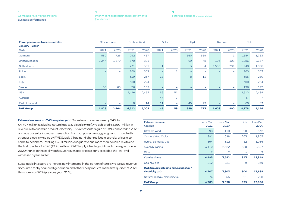#### **[2](#page-17-0)** [Interim consolidated financial statements](#page-17-0)  [\(condensed\)](#page-17-0)

**[3](#page-22-0)** [Financial calendar 2021 / 2022](#page-22-0)

<span id="page-8-0"></span>

| <b>Power generation from renewables</b><br><b>January - March</b> | Offshore Wind |                          |       | Onshore Wind             |      | Solar                    | Hydro |                          |       | <b>Biomass</b>           | <b>Total</b> |                |
|-------------------------------------------------------------------|---------------|--------------------------|-------|--------------------------|------|--------------------------|-------|--------------------------|-------|--------------------------|--------------|----------------|
| GWh                                                               | 2021          | 2020                     | 2021  | 2020                     | 2021 | 2020                     | 2021  | 2020                     | 2021  | 2020                     | 2021         | 2020           |
| Germany                                                           | 532           | 726                      | 292   | 487                      |      | $\overline{\phantom{a}}$ | 560   | 569                      |       |                          | 1,384        | 1,783          |
| United Kingdom                                                    | 1,244         | 1,670                    | 570   | 801                      |      | $\overline{\phantom{a}}$ | 69    | 78                       | 103   | 108                      | 1,986        | 2,657          |
| <b>Netherlands</b>                                                |               | $\overline{\phantom{a}}$ | 231   | 301                      |      | $\overline{\phantom{a}}$ | 3     | 4                        | 1,505 | 791                      | 1,740        | 1,096          |
| Poland                                                            |               | $\overline{\phantom{0}}$ | 260   | 352                      |      | ᆂ                        |       | $\overline{\phantom{a}}$ |       | $\overline{\phantom{m}}$ | 260          | 353            |
| Spain                                                             |               | $\overline{\phantom{0}}$ | 329   | 237                      | 18   | $\overline{\phantom{a}}$ | 8     | 13                       |       | $\overline{\phantom{m}}$ | 355          | 250            |
| Italy                                                             |               | $\overline{\phantom{0}}$ | 300   | 274                      |      | $\overline{\phantom{a}}$ |       | $\overline{\phantom{a}}$ |       | $\overline{\phantom{m}}$ | 300          | 274            |
| Sweden                                                            | 50            | 68                       | 76    | 109                      |      | $\overline{\phantom{a}}$ |       | $\overline{\phantom{a}}$ |       | $\overline{\phantom{m}}$ | 126          | 177            |
| <b>USA</b>                                                        |               | -                        | 2,446 | 2,433                    | 66   | 51                       |       | $\overline{\phantom{a}}$ |       | $\overline{\phantom{a}}$ | 2,512        | 2,484          |
| Australia                                                         |               | $\overline{\phantom{0}}$ |       | $\overline{\phantom{a}}$ | 47   | $\overline{7}$           |       | $\overline{\phantom{a}}$ |       | $\overline{\phantom{0}}$ | 47           | $\overline{7}$ |
| Rest of the world                                                 |               | $\overline{\phantom{0}}$ | 8     | 14                       | 11   | $\overline{\phantom{a}}$ | 49    | 49                       |       | $\overline{\phantom{0}}$ | 68           | 63             |
| <b>RWE Group</b>                                                  | 1,826         | 2,464                    | 4,512 | 5,008                    | 143  | 59                       | 689   | 713                      | 1,608 | 900                      | 8,778        | 9,144          |

**External revenue up 24% on prior year.** Our external revenue rose by 24% to €4,707 million (excluding natural gas tax / electricity tax). We achieved €3,997 million in revenue with our main product, electricity. This represents a gain of 18 % compared to 2020 and was driven by increased generation from our power plants, going hand in hand with stronger electricity sales by RWE Supply & Trading. Higher realised electricity prices also came to bear here. Totalling €318 million, our gas revenue more than doubled relative to the first quarter of 2020 (€148 million). RWE Supply & Trading sold much more gas than in 2020 thanks to the cool weather. Moreover, gas prices clearly exceeded the low level witnessed a year earlier.

Sustainable investors are increasingly interested in the portion of total RWE Group revenue accounted for by coal-fired generation and other coal products. In the first quarter of 2021, this share was 20 % (previous year: 21 %).

| <b>External revenue</b><br>$\epsilon$ million                    | $Jan - Mar$<br>2021 | $Jan - Mar$<br>2020 | $+/-$ | $Jan - Dec$<br>2020 |
|------------------------------------------------------------------|---------------------|---------------------|-------|---------------------|
| Offshore Wind                                                    | 98                  | 118                 | $-20$ | 332                 |
| Onshore Wind / Solar                                             | 891                 | 628                 | 263   | 1,855               |
| Hydro / Biomass / Gas                                            | 394                 | 312                 | 82    | 1,056               |
| Supply & Trading                                                 | 3,110               | 2,522               | 588   | 9,597               |
| Other                                                            | $\overline{2}$      | 2                   |       | 9                   |
| <b>Core business</b>                                             | 4,495               | 3,582               | 913   | 12,849              |
| Coal/Nuclear                                                     | 212                 | 221                 | -9    | 839                 |
| <b>RWE Group (excluding natural gas tax/</b><br>electricity tax) | 4,707               | 3,803               | 904   | 13,688              |
| Natural gas tax/electricity tax                                  | 76                  | 55                  | 21    | 208                 |
| <b>RWE Group</b>                                                 | 4,783               | 3,858               | 925   | 13,896              |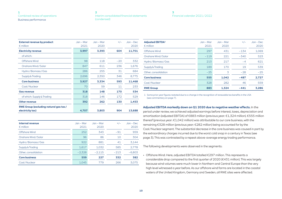#### **[2](#page-17-0)** [Interim consolidated financial statements](#page-17-0)  [\(condensed\)](#page-17-0)

#### **[3](#page-22-0)** [Financial calendar 2021 / 2022](#page-22-0)

| <b>External revenue by product</b><br>$\epsilon$ million | $Jan - Mar$<br>2021 | $Jan - Mar$<br>2020 | $+/-$  | $Jan - Dec$<br>2020 |
|----------------------------------------------------------|---------------------|---------------------|--------|---------------------|
| <b>Electricity revenue</b>                               | 3,997               | 3,393               | 604    | 11,701              |
| of which:                                                |                     |                     |        |                     |
| Offshore Wind                                            | 98                  | 118                 | $-20$  | 332                 |
| Onshore Wind / Solar                                     | 847                 | 611                 | 236    | 1,676               |
| Hydro / Biomass / Gas                                    | 286                 | 255                 | 31     | 684                 |
| Supply & Trading                                         | 2,696               | 2,350               | 346    | 8,775               |
| <b>Core business</b>                                     | 3,927               | 3,334               | 593    | 11,468              |
| Coal/Nuclear                                             | 70                  | 59                  | 11     | 233                 |
| <b>Gas revenue</b>                                       | 318                 | 148                 | 170    | 534                 |
| of which: Supply & Trading                               | 318                 | 146                 | 172    | 529                 |
| <b>Other revenue</b>                                     | 392                 | 262                 | 130    | 1,453               |
| <b>RWE Group (excluding natural gas tax/</b>             |                     |                     |        |                     |
| electricity tax)                                         | 4,707               | 3,803               | 904    | 13,688              |
|                                                          |                     |                     |        |                     |
| <b>Internal revenue</b><br>$\epsilon$ million            | $Jan - Mar$<br>2021 | Jan - Mar<br>2020   | $+/-$  | $Jan - Dec$<br>2020 |
| <b>Offshore Wind</b>                                     | 252                 | 343                 | $-91$  | 959                 |
| Onshore Wind / Solar                                     | 96                  | 86                  | 10     | 304                 |
| Hydro / Biomass / Gas                                    | 922                 | 881                 | 41     | 3,144               |
| Supply & Trading                                         | 1,617               | 1,032               | 585    | 2,778               |
| Other, consolidation                                     | $-2,328$            | $-2,115$            | $-213$ | $-6,803$            |
| <b>Core business</b>                                     | 559                 | 227                 | 332    | 382                 |

Coal / Nuclear 1,045 779 266 3,075

| <b>Adjusted EBITDA1</b><br>$\epsilon$ million | $Jan - Mar$<br>2021 | $Jan - Mar$<br>2020 | $+/-$  | $Jan - Dec$<br>2020 |
|-----------------------------------------------|---------------------|---------------------|--------|---------------------|
| Offshore Wind                                 | 297                 | 431                 | $-134$ | 1,069               |
| Onshore Wind / Solar                          | $-119$              | 221                 | $-340$ | 523                 |
| Hydro / Biomass / Gas                         | 213                 | 217                 | $-4$   | 621                 |
| Supply & Trading                              | 189                 | 170                 | 19     | 539                 |
| Other, consolidation                          | $-25$               | 3                   | $-28$  | $-25$               |
| <b>Core business</b>                          | 555                 | 1.042               | $-487$ | 2.727               |
| Coal/Nuclear                                  | 328                 | 282                 | 46     | 559                 |
| <b>RWE Group</b>                              | 883                 | 1.324               | $-441$ | 3.286               |

1 Some prior-year figures restated due to a change in the recognition of renewable tax benefits in the USA (see commentary on [page 7](#page-6-0)).

#### **Adjusted EBITDA markedly down on Q1 2020 due to negative weather effects.** In the

period under review, we achieved adjusted earnings before interest, taxes, depreciation and amortisation (adjusted EBITDA) of €883 million (previous year: €1,324 million). €555 million thereof (previous year: €1,042 million) was attributable to our core business, with the remaining €328 million (previous year: €282 million) being accounted for by the Coal / Nuclear segment. The substantial decrease in the core business was caused in part by the extraordinary charges incurred due to the worst cold snap in a century in Texas (see [page 3](#page-2-0)). This was contrasted by a repeat above-average energy trading performance.

The following developments were observed in the segments:

• Offshore Wind: Here, adjusted EBITDA totalled €297 million. This represents a considerable drop compared to the first quarter of 2020 (€431 million). This was largely because wind volumes were much lower in Northern and Central Europe than the very high level witnessed a year before. As our offshore wind farms are located in the coastal waters of the United Kingdom, Germany and Sweden, all RWE sites were affected.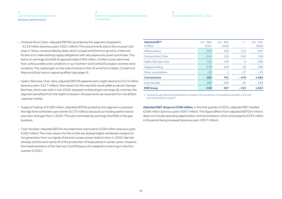#### **[2](#page-17-0)** [Interim consolidated financial statements](#page-17-0)  [\(condensed\)](#page-17-0)

#### **[3](#page-22-0)** [Financial calendar 2021 / 2022](#page-22-0)

- <span id="page-10-0"></span>• Onshore Wind / Solar: Adjusted EBITDA recorded by this segment dropped to – €119 million (previous year: €221 million). This was primarily due to the unusual cold snap in Texas, compounded by sleet, which caused wind farms to grind to a halt and forced us to meet existing supply obligations with very expensive power purchases. This led to an earnings shortfall of approximately €400 million. Further losses stemmed from unfavourable wind conditions in our Northern and Central European onshore wind locations. The capital gain on the sale of shares in the US wind farms Stella, Cranell and Raymond East had an opposing effect (see [page 4\)](#page-3-0).
- Hydro / Biomass / Gas: Here, adjusted EBITDA experienced a slight decline to €213 million (previous year: €217 million). One reason for this was that wood pellet producer Georgia Biomass, which was sold in mid-2020, stopped contributing to earnings. By contrast, the segment benefited from the slight increase in the payments we received from the British capacity market.
- Supply & Trading: At €189 million, adjusted EBITDA posted by this segment surpassed the high level achieved a year earlier (€170 million), because our trading performance was even stronger than in 2020. This was contrasted by earnings shortfalls in the gas business.
- Coal / Nuclear: Adjusted EBITDA recorded here improved to €328 million (previous year: €282 million). The main reason for this is that we realised higher wholesale margins for the generation from our lignite-fired and nuclear power stations than in 2020. We had already sold forward nearly all of the production of these plants in earlier years. However, the implementation of the German Coal Phaseout Act weighed on earnings in the first quarter of 2021.

| <b>Adjusted EBIT1</b><br>$\epsilon$ million | $Jan - Mar$<br>2021 | $Jan - Mar$<br>2020 | $+/-$  | $Jan - Dec$<br>2020 |
|---------------------------------------------|---------------------|---------------------|--------|---------------------|
| Offshore Wind                               | 203                 | 336                 | $-133$ | 697                 |
| Onshore Wind / Solar                        | $-214$              | 128                 | $-342$ | 138                 |
| Hydro / Biomass / Gas                       | 141                 | 135                 | 6      | 283                 |
| Supply & Trading                            | 178                 | 160                 | 18     | 496                 |
| Other, consolidation                        | $-25$               | $\overline{2}$      | $-27$  | $-25$               |
| <b>Core business</b>                        | 283                 | 761                 | $-478$ | 1.589               |
| Coal/Nuclear                                | 265                 | 206                 | 59     | 234                 |
| <b>RWE Group</b>                            | 548                 | 967                 | $-419$ | 1.823               |

1 Some prior-year figures restated due to a change in the recognition of renewable tax benefits in the USA (see commentary on [page 7](#page-6-0)).

**Adjusted EBIT drops to €548 million.** In the first quarter of 2021, adjusted EBIT totalled €548 million (previous year: €967 million). This figure differs from adjusted EBITDA in that it does not include operating depreciation and amortisation, which amounted to €335 million in the period being reviewed (previous year: €357 million).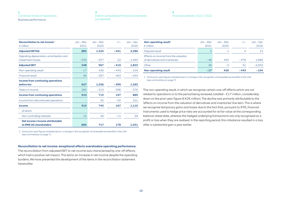#### **[2](#page-17-0)** [Interim consolidated financial statements](#page-17-0)  [\(condensed\)](#page-17-0)

#### **[3](#page-22-0)** [Financial calendar 2021 / 2022](#page-22-0)

| Reconciliation to net income <sup>1</sup><br>$\epsilon$ million | Jan – Mar<br>2021 | Jan – Mar<br>2020 | $+/-$  | $Jan - Dec$<br>2020 |
|-----------------------------------------------------------------|-------------------|-------------------|--------|---------------------|
| <b>Adjusted EBITDA</b>                                          | 883               | 1.324             | $-441$ | 3,286               |
| Operating depreciation, amortisation and<br>impairment losses   | $-335$            | $-357$            | 22     | $-1,463$            |
| <b>Adjusted EBIT</b>                                            | 548               | 967               | $-419$ | 1,823               |
| Non-operating result                                            | $-17$             | 426               | $-443$ | $-104$              |
| <b>Financial result</b>                                         | 96                | $-367$            | 463    | $-454$              |
| <b>Income from continuing operations</b>                        |                   |                   |        |                     |
| before tax                                                      | 627               | 1,026             | $-399$ | 1,265               |
| Taxes on income                                                 | 283               | $-313$            | 596    | $-376$              |
| <b>Income from continuing operations</b>                        | 910               | 713               | 197    | 889                 |
| Income from discontinued operations                             |                   | 30                | $-30$  | 221                 |
| <b>Income</b>                                                   | 910               | 743               | 167    | 1,110               |
| of which:                                                       |                   |                   |        |                     |
| Non-controlling interests                                       | 15                | 26                | $-11$  | 59                  |
| Net income/income attributable<br>to RWE AG shareholders        | 895               | 717               | 178    | 1.051               |

1 Some prior-year figures restated due to a change in the recognition of renewable tax benefits in the USA (see commentary on [page 7\)](#page-6-0).

#### **Reconciliation to net income: exceptional effects overshadow operating performance.**

The reconciliation from adjusted EBIT to net income was characterised by one-off effects, which had a positive net impact. This led to an increase in net income despite the operating burdens. We have presented the development of the items in the reconciliation statement hereinafter.

| Non-operating result <sup>1</sup><br>$\epsilon$ million                | Jan – Mar<br>2021 | Jan – Mar<br>2020 | $+/-$          | $Jan - Dec$<br>2020 |
|------------------------------------------------------------------------|-------------------|-------------------|----------------|---------------------|
| Disposal result                                                        | 3                 | $-1$              | $\overline{A}$ | 13                  |
| Effects on income from the valuation<br>of derivatives and inventories | $-48$             | 430               | $-478$         | 1,886               |
| Other                                                                  | 28                | $-3$              | 31             | $-2.003$            |
| <b>Non-operating result</b>                                            | - 17              | 426               | $-443$         | $-104$              |

1 Some prior-year figures restated due to a change in the recognition of renewable tax benefits in the USA (see commentary on [page 7](#page-6-0)).

The non-operating result, in which we recognise certain one-off effects which are not related to operations or to the period being reviewed, totalled – €17 million, considerably down on the prior-year figure (€426 million). The decline was primarily attributable to the 'effects on income from the valuation of derivatives and inventories' line item. This is where we recognise temporary gains and losses due to the fact that, pursuant to IFRS, financial instruments used to hedge price risks are accounted for at fair value at the corresponding balance-sheet date, whereas the hedged underlying transactions are only recognised as a profit or loss when they are realised. In the reporting period, this imbalance resulted in a loss after a substantial gain a year earlier.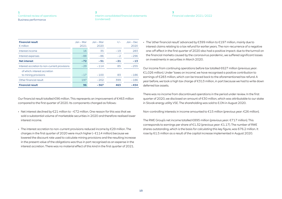| Interim consolidated financial statements |
|-------------------------------------------|
| (condensed)                               |

#### **[3](#page-22-0)** [Financial calendar 2021 / 2022](#page-22-0)

| <b>Financial result</b><br>$\epsilon$ million        | $Jan - Mar$<br>2021 | Jan – Mar<br>2020 | $+/-$ | $Jan - Dec$<br>2020 |
|------------------------------------------------------|---------------------|-------------------|-------|---------------------|
| Interest income                                      | 16                  | 35                | $-19$ | 283                 |
| Interest expenses                                    | $-88$               | $-86$             | $-2$  | $-296$              |
| <b>Net interest</b>                                  | $-72$               | $-51$             | $-21$ | $-13$               |
| Interest accretion to non-current provisions         | $-29$               | $-114$            | 85    | $-255$              |
| of which: interest accretion<br>to mining provisions | $-17$               | $-100$            | 83    | $-186$              |
| Other financial result                               | 197                 | $-202$            | 399   | $-186$              |
| <b>Financial result</b>                              | 96                  | $-367$            | 463   | $-454$              |

Our financial result totalled €96 million. This represents an improvement of €463 million compared to the first quarter of 2020. Its components changed as follows:

- Net interest declined by €21 million to – €72 million. One reason for this was that we sold a substantial volume of marketable securities in 2020 and therefore realised lower interest income.
- The interest accretion to non-current provisions reduced income by €29 million. The charges in the first quarter of 2020 were much higher (– €114 million) because we lowered the discount rate used to calculate mining provisions and the resulting increase in the present value of the obligations was thus in part recognised as an expense in the interest accretion. There was no material effect of this kind in the first quarter of 2021.

• The 'other financial result' advanced by €399 million to €197 million, mainly due to interest claims relating to a tax refund for earlier years. The non-recurrence of a negative one-off effect in the first quarter of 2020 also had a positive impact: due to the turmoil on the financial markets caused by the coronavirus pandemic, we suffered significant losses on investments in securities in March 2020.

Our income from continuing operations before tax totalled €627 million (previous year: €1,026 million). Under 'taxes on income', we have recognised a positive contribution to earnings of €283 million, which can be traced back to the aforementioned tax refund. A year before, we took a high tax charge of €313 million, in part because we had to write down deferred tax assets.

There was no income from discontinued operations in the period under review. In the first quarter of 2020, we disclosed an amount of €30 million, which was attributable to our stake in Slovak energy utility VSE. The shareholding was sold to E.ON in August 2020.

Non-controlling interests in income amounted to €15 million (previous year: €26 million).

The RWE Group's net income totalled €895 million (previous year: €717 million). This corresponds to earnings per share of €1.32 (previous year: €1.17). The number of RWE shares outstanding, which is the basis for calculating this key figure, was 676.2 million. It rose by 61.5 million as a result of the capital increase implemented in August 2020.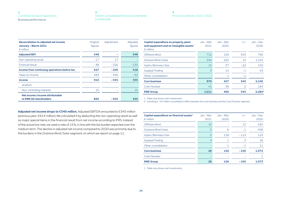| - 2 |                                           |
|-----|-------------------------------------------|
|     | Interim consolidated financial statements |
|     | (condensed)                               |

| <b>Reconciliation to adjusted net income</b><br><b>January - March 2021</b><br>$\epsilon$ million | Original<br>figures | Adjustment | Adjusted<br>figures |
|---------------------------------------------------------------------------------------------------|---------------------|------------|---------------------|
| <b>Adjusted EBIT</b>                                                                              | 548                 |            | 548                 |
| Non-operating result                                                                              | $-17$               | 17         |                     |
| <b>Financial result</b>                                                                           | 96                  | $-226$     | $-130$              |
| Income from continuing operations before tax                                                      | 627                 | $-209$     | 418                 |
| Taxes on income                                                                                   | 283                 | $-346$     | $-63$               |
| <b>Income</b>                                                                                     | 910                 | $-555$     | 355                 |
| of which:                                                                                         |                     |            |                     |
| Non-controlling interests                                                                         | 15                  |            | 15                  |
| Net income / income attributable<br>to RWE AG shareholders                                        | 895                 | $-555$     | 340                 |

| Capital expenditure on property, plant<br>and equipment and on intangible assets $1$<br>$\epsilon$ million | $Jan - Mar$<br>2021 | $Jan - Mar$<br>2020 | $+/-$          | $Jan - Dec$<br>2020 |
|------------------------------------------------------------------------------------------------------------|---------------------|---------------------|----------------|---------------------|
| Offshore Wind                                                                                              | 712                 | 159                 | 553            | 756                 |
| Onshore Wind / Solar                                                                                       | 234                 | 220                 | 14             | 1,154               |
| Hydro / Biomass / Gas                                                                                      | 15                  | 37                  | $-22$          | 153                 |
| Supply & Trading                                                                                           | 9                   | 10                  | $-1$           | 43                  |
| Other, consolidation                                                                                       |                     | 1                   | $-1$           |                     |
| <b>Core business</b>                                                                                       | 970                 | 427                 | 543            | 2,106               |
| Coal/Nuclear                                                                                               | 41                  | 39                  | $\overline{2}$ | 183                 |
| <b>RWE Group</b>                                                                                           | 1,011               | 466                 | 545            | 2,285 <sup>2</sup>  |

1 Table only shows cash investments.

2 Including a −€4 million consolidation effect between the core business and the Coal/Nuclear segment.

**Adjusted net income drops to €340 million.** Adjusted EBITDA amounted to €340 million (previous year: €614 million). We calculated it by deducting the non-operating result as well as major special items in the financial result from net income according to IFRS. Instead of the actual tax rate, we used a rate of 15 %, in line with the tax burden expected over the medium term. The decline in adjusted net income compared to 2020 was primarily due to the burdens in the Onshore Wind / Solar segment, on which we report on [page 11](#page-10-0).

| Capital expenditure on financial assets $1$<br>$\epsilon$ million | Jan – Mar<br>2021 | Jan - Mar<br>2020 | $+/-$  | $Jan - Dec$<br>2020 |
|-------------------------------------------------------------------|-------------------|-------------------|--------|---------------------|
| Offshore Wind                                                     | 12                |                   | 12     | 520                 |
| Onshore Wind / Solar                                              | 5                 | 6                 | $-1$   | 408                 |
| Hydro / Biomass / Gas                                             | 5                 | 118               | $-113$ | 115                 |
| Supply & Trading                                                  | 4                 |                   | 3      | 18                  |
| Other, consolidation                                              |                   |                   | $-1$   | 11                  |
| <b>Core business</b>                                              | 26                | 126               | $-100$ | 1,072               |
| Coal/Nuclear                                                      |                   |                   |        |                     |
| <b>RWE Group</b>                                                  | 26                | 126               | $-100$ | 1,073               |

1 Table only shows cash investments.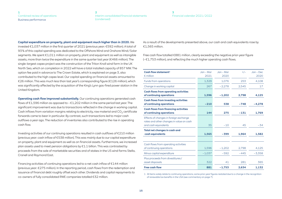#### **[2](#page-17-0)** [Interim consolidated financial statements](#page-17-0)  [\(condensed\)](#page-17-0)

#### **[3](#page-22-0)** [Financial calendar 2021 / 2022](#page-22-0)

#### **Capital expenditure on property, plant and equipment much higher than in 2020.** We

invested €1,037 million in the first quarter of 2021 (previous year: €592 million). A total of 93 % of this capital spending was dedicated to the Offshore Wind and Onshore Wind / Solar segments. We spent €1,011 million on property, plant and equipment as well as intangible assets, more than twice the expenditure in the same quarter last year (€466 million). The single-largest capex project was the construction of the Triton Knoll wind farm in the UK North Sea, which on completion in 2022 will have a total installed capacity of 857 MW. The option fee paid in advance to The Crown Estate, which is explained on [page 3](#page-2-0), also contributed to the high capex level. Our capital spending on financial assets amounted to €26 million. This was much less than last year's corresponding figure (€126 million), which was significantly affected by the acquisition of the King's Lynn gas-fired power station in the United Kingdom.

**Operating cash flow improved substantially.** Our continuing operations generated cash flows of €1,596 million as opposed to – €1,202 million in the same period last year. The significant improvement was due to transactions reflected in the change in working capital. Cash inflows from variation margins relating to electricity, raw material and  $CO<sub>2</sub>$  certificate forwards came to bear in particular. By contrast, such transactions led to major cash outflows a year ago. The reduction of inventories also contributed to the rise in operating cash flow.

Investing activities of our continuing operations resulted in cash outflows of €210 million (previous year: cash inflow of €538 million). This was mainly due to our capital expenditure on property, plant and equipment as well as on financial assets. Furthermore, we increased plan assets used to meet pension obligations by €1.1 billion. This was contrasted by proceeds from the sale of marketable securities and of stakes in the US wind farms Stella, Cranell and Raymond East.

Financing activities of continuing operations led to a net cash inflow of €144 million (previous year: €275 million). In the reporting period, cash flows from the redemption and issuance of financial debt roughly offset each other. Dividends and capital repayments to co-owners of fully consolidated RWE companies totalled €32 million.

As a result of the developments presented above, our cash and cash equivalents rose by €1,565 million.

Free cash flow totalled €881 million, clearly exceeding the negative prior-year figure  $(-61,753$  million), and reflecting the much higher operating cash flows.

| Cash flow statement <sup>1</sup><br>$\epsilon$ million                                                     | Jan – Mar<br>2021 | $Jan - Mar$<br>2020 | $+/-$  | $Jan - Dec$<br>2020 |
|------------------------------------------------------------------------------------------------------------|-------------------|---------------------|--------|---------------------|
| <b>Funds from operations</b>                                                                               | 1,329             | 1,076               | 253    | 4,108               |
| Change in working capital                                                                                  | 267               | $-2,278$            | 2,545  | 17                  |
| <b>Cash flows from operating activities</b><br>of continuing operations                                    | 1,596             | $-1,202$            | 2,798  | 4,125               |
| <b>Cash flows from investing activities</b><br>of continuing operations                                    | $-210$            | 538                 | $-748$ | $-4.278$            |
| <b>Cash flows from financing activities</b><br>of continuing operations                                    | 144               | 275                 | $-131$ | 1,769               |
| Effects of changes in foreign exchange<br>rates and other changes in value on cash<br>and cash equivalents | 35                | $-10$               | 45     | $-34$               |
| Total net changes in cash and<br>cash equivalents                                                          | 1,565             | $-399$              | 1.964  | 1.582               |
| Cash flows from operating activities<br>of continuing operations                                           | 1,596             | $-1,202$            | 2,798  | 4,125               |
| Minus capital expenditure                                                                                  | $-1,037$          | $-592$              | $-445$ | $-3.358$            |
| Plus proceeds from divestitures /<br>asset disposals                                                       | 322               | 41                  | 281    | 365                 |
| <b>Free cash flow</b>                                                                                      | 881               | $-1,753$            | 2,634  | 1,132               |

1 All items solely relate to continuing operations; some prior-year figures restated due to a change in the recognition of renewable tax benefits in the USA (see commentary on [page 7\)](#page-6-0).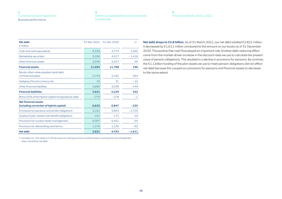| Interim consolidated financial statements |
|-------------------------------------------|
| (condensed)                               |

#### **[3](#page-22-0)** [Financial calendar 2021 / 2022](#page-22-0)

| <b>Net debt</b><br>$\epsilon$ million                                   | 31 Mar 2021 | 31 Dec 2020 | $+/-$    |
|-------------------------------------------------------------------------|-------------|-------------|----------|
| Cash and cash equivalents                                               | 6,339       | 4.774       | 1.565    |
| Marketable securities <sup>1</sup>                                      | 3,099       | 4,517       | $-1,418$ |
| Other financial assets                                                  | 2,556       | 2.507       | 49       |
| <b>Financial assets</b>                                                 | 11,994      | 11,798      | 196      |
| Bonds, other notes payable, bank debt,<br>commercial paper              | 2,743       | 2,160       | 583      |
| Hedging of bond currency risk                                           | 19          | 31          | $-12$    |
| Other financial liabilities                                             | 2,889       | 3,038       | $-149$   |
| <b>Financial liabilities</b>                                            | 5,651       | 5,229       | 422      |
| Minus 50% of the hybrid capital recognised as debt                      | $-279$      | $-278$      | $-1$     |
| <b>Net financial assets</b><br>(including correction of hybrid capital) | 6,622       | 6,847       | $-225$   |
| Provisions for pensions and similar obligations                         | 2,161       | 3.864       | $-1,703$ |
| Surplus of plan assets over benefit obligations                         | $-191$      | $-172$      | $-19$    |
| Provisions for nuclear waste management                                 | 6,397       | 6,451       | $-54$    |
| Provisions for dismantling wind farms                                   | 1,076       | 1,136       | $-60$    |
| <b>Net debt</b>                                                         | 2,821       | 4,432       | $-1,611$ |

1 Excludes our 15 % stake in E.ON because our mining provisions and the assets covering them are disregarded when calculating net debt.

**Net debt drops to €2.8 billion.** As of 31 March 2021, our net debt totalled €2,821 million. It decreased by €1,611 million compared to the amount on our books as of 31 December 2020. The positive free cash flow played an important role. Another debt-reducing effect came from the market-driven increase in the discount rates we use to calculate the present value of pension obligations. This resulted in a decline in provisions for pensions. By contrast, the €1.1 billion funding of the plan assets we use to meet pension obligations did not affect net debt because this caused our provisions for pensions and financial assets to decrease to the same extent.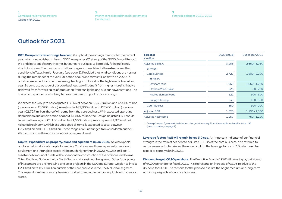#### **[2](#page-17-0)** [Interim consolidated financial statements](#page-17-0)  [\(condensed\)](#page-17-0)

**[3](#page-22-0)** [Financial calendar 2021 / 2022](#page-22-0)

# <span id="page-16-0"></span>Outlook for 2021

**RWE Group confirms earnings forecast.** We uphold the earnings forecast for the current year, which we published in March 2021 (see pages 67 et seq. of the 2020 Annual Report). We anticipate satisfactory income, but our core business will probably fall significantly short of last year. The main reason is the charges incurred due to the extreme weather conditions in Texas in mid-February (see [page 3\)](#page-2-0). Provided that wind conditions are normal during the remainder of the year, utilisation of our wind farms will be down on 2020. In addition, we expect income from energy trading to fall short of the high level achieved last year. By contrast, outside of our core business, we will benefit from higher margins that we achieved from forward sales of production from our lignite and nuclear power stations. The coronavirus pandemic is unlikely to have a material impact on our earnings.

We expect the Group to post adjusted EBITDA of between €2,650 million and €3,050 million (previous year: €3,286 million). An estimated €1,800 million to €2,200 million (previous year: €2,727 million) thereof will come from the core business. With expected operating depreciation and amortisation of about €1,500 million, the Group's adjusted EBIT should be within the range of €1,150 million to €1,550 million (previous year: €1,823 million). Adjusted net income, which excludes special items, is expected to total between €750 million and €1,100 million. These ranges are unchanged from our March outlook. We also maintain the earnings outlook at segment level.

**Capital expenditure on property, plant and equipment up on 2020.** We also uphold our forecast in relation to capital spending. Capital expenditure on property, plant and equipment and intangible assets will be much higher than in 2020 (€2,285 million). A substantial amount of funds will be spent on the construction of the offshore wind farms Triton Knoll and Sofia in the UK North Sea and Kaskasi near Heligoland. Other focal points of investment are onshore wind and solar projects in the USA and Europe. We plan to invest €200 million to €300 million outside of the core business in the Coal / Nuclear segment. This expenditure has primarily been earmarked to maintain our power plants and opencast mines.

| <b>Forecast</b><br>$\epsilon$ million | $2020$ actual <sup>1</sup> | Outlook for 2021 |
|---------------------------------------|----------------------------|------------------|
| <b>Adjusted EBITDA</b>                | 3,286                      | $2,650 - 3,050$  |
| of which:                             |                            |                  |
| Core business                         | 2,727                      | $1,800 - 2,200$  |
| of which:                             |                            |                  |
| Offshore Wind                         | 1,069                      | $1,050 - 1,250$  |
| Onshore Wind / Solar                  | 523                        | $50 - 250$       |
| Hydro / Biomass / Gas                 | 621                        | $500 - 600$      |
| Supply & Trading                      | 539                        | $150 - 350$      |
| Coal/Nuclear                          | 559                        | $800 - 900$      |
| <b>Adjusted EBIT</b>                  | 1,823                      | $1,150 - 1,550$  |
| Adjusted net income                   | 1,257                      | $750 - 1,100$    |

1 Some prior-year figures restated due to a change in the recognition of renewable tax benefits in the USA (see commentary on [page 7](#page-6-0)).

**Leverage factor: RWE will remain below 3.0 cap.** An important indicator of our financial strength is the ratio of net debt to adjusted EBITDA of the core business, also referred to as the leverage factor. We set the upper limit for the leverage factor at 3.0, which we also expect to comply with in 2021.

**Dividend target: €0.90 per share.** The Executive Board of RWE AG aims to pay a dividend of €0.90 per share for fiscal 2021. This represents an increase of €0.05 relative to the dividend for 2020. The reasons for the planned rise are the bright medium and long-term earnings prospects of our core business.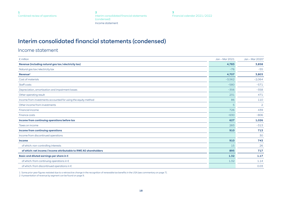**2** Interim consolidated financial statements (condensed) Income statement

**[3](#page-22-0)** [Financial calendar 2021 / 2022](#page-22-0)

# <span id="page-17-0"></span>Interim consolidated financial statements (condensed)

Income statement

| $\epsilon$ million                                                | Jan - Mar 2021 | Jan - Mar 2020 <sup>1</sup> |
|-------------------------------------------------------------------|----------------|-----------------------------|
| Revenue (including natural gas tax / electricity tax)             | 4,783          | 3,858                       |
| Natural gas tax/electricity tax                                   | $-76$          | $-55$                       |
| Revenue <sup>2</sup>                                              | 4,707          | 3,803                       |
| Cost of materials                                                 | $-3,562$       | $-2,064$                    |
| Staff costs                                                       | $-580$         | $-571$                      |
| Depreciation, amortisation and impairment losses                  | $-356$         | $-358$                      |
| Other operating result                                            | 231            | 471                         |
| Income from investments accounted for using the equity method     | 86             | 110                         |
| Other income from investments                                     | 5              | $\overline{2}$              |
| <b>Financial income</b>                                           | 726            | 439                         |
| Finance costs                                                     | $-630$         | $-806$                      |
| Income from continuing operations before tax                      | 627            | 1,026                       |
| Taxes on income                                                   | 283            | $-313$                      |
| <b>Income from continuing operations</b>                          | 910            | 713                         |
| Income from discontinued operations                               |                | 30                          |
| <b>Income</b>                                                     | 910            | 743                         |
| of which: non-controlling interests                               | 15             | 26                          |
| of which: net income / income attributable to RWE AG shareholders | 895            | 717                         |
| Basic and diluted earnings per share in €                         | 1.32           | 1.17                        |
| of which: from continuing operations in $\epsilon$                | 1.32           | 1.14                        |
| of which: from discontinued operations in €                       |                | 0.03                        |

1 Some prior-year figures restated due to a retroactive change in the recognition of renewable tax benefits in the USA (see commentary on [page 7](#page-6-0)).

2 A presentation of revenue by segment can be found on [page 9.](#page-8-0)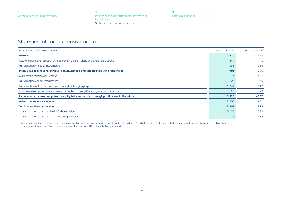**[2](#page-17-0)** [Interim consolidated financial statements](#page-17-0)  [\(condensed\)](#page-17-0) Statement of comprehensive income

**[3](#page-22-0)** [Financial calendar 2021 / 2022](#page-22-0)

## <span id="page-18-0"></span>Statement of comprehensive income

| Figures stated after taxes - $\epsilon$ million                                                   | Jan - Mar 2021 | Jan - Mar 2020 <sup>1</sup> |
|---------------------------------------------------------------------------------------------------|----------------|-----------------------------|
| <b>Income</b>                                                                                     | 910            | 743                         |
| Actuarial gains and losses of defined benefit pension plans and similar obligations               | 647            | 441                         |
| Fair valuation of equity instruments                                                              | 336            | $-165$                      |
| Income and expenses recognised in equity, not to be reclassified through profit or loss           | 983            | 276                         |
| Currency translation adjustment                                                                   | 73             | $-387$                      |
| Fair valuation of debt instruments                                                                | $-20$          | $-35$                       |
| Fair valuation of financial instruments used for hedging purposes                                 | 1,247          | 117                         |
| Income and expenses of investments accounted for using the equity method (pro rata)               | 10             | $-2$                        |
| Income and expenses recognised in equity, to be reclassified through profit or loss in the future | 1,310          | $-307$                      |
| Other comprehensive income                                                                        | 2,293          | $-31$                       |
| <b>Total comprehensive income</b>                                                                 | 3,203          | 712                         |
| of which: attributable to RWE AG shareholders                                                     | 3,126          | 699                         |
| of which: attributable to non-controlling interests                                               | 77             | 13                          |

1 Some prior-year figures restated due to a retroactive change in the recognition of renewable tax benefits in the USA and retroactive adjustments to the first-time consolidation of the acquired E.ON operations (see commentary on [page 7](#page-6-0) of this interim statement and on page 109 of the 2020 Annual Report).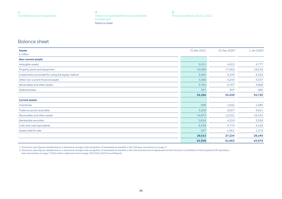**[2](#page-17-0)** [Interim consolidated financial statements](#page-17-0)  [\(condensed\)](#page-17-0) Balance sheet

**[3](#page-22-0)** [Financial calendar 2021 / 2022](#page-22-0)

## <span id="page-19-0"></span>Balance sheet

| <b>Assets</b>                                     | 31 Mar 2021 | 31 Dec 2020 <sup>1</sup> | 1 Jan 2020 <sup>2</sup> |
|---------------------------------------------------|-------------|--------------------------|-------------------------|
| $\epsilon$ million                                |             |                          |                         |
| <b>Non-current assets</b>                         |             |                          |                         |
| Intangible assets                                 | 5,011       | 4,913                    | 4,777                   |
| Property, plant and equipment                     | 19,086      | 17,902                   | 19,016                  |
| Investments accounted for using the equity method | 3,461       | 3,276                    | 3,252                   |
| Other non-current financial assets                | 4,566       | 4,244                    | 4,337                   |
| Receivables and other assets                      | 3,765       | 3,707                    | 3,668                   |
| Deferred taxes                                    | 397         | 397                      | 680                     |
|                                                   | 36,286      | 34,439                   | 35,730                  |
| <b>Current assets</b>                             |             |                          |                         |
| Inventories                                       | 998         | 1,632                    | 1,585                   |
| Trade accounts receivable                         | 3,259       | 3,007                    | 3,621                   |
| Receivables and other assets                      | 14,873      | 12,531                   | 15,310                  |
| Marketable securities                             | 2,816       | 4,219                    | 3,258                   |
| Cash and cash equivalents                         | 6,339       | 4,774                    | 3,192                   |
| Assets held for sale                              | 337         | 1,061                    | 1,274                   |
|                                                   | 28,622      | 27,224                   | 28,240                  |
|                                                   | 64,908      | 61,663                   | 63,970                  |

1 Some prior-year figures restated due to a retroactive change in the recognition of renewable tax benefits in the USA (see commentary on [page 7](#page-6-0)).

2 Some prior-year figures restated due to a retroactive change in the recognition of renewable tax benefits in the USA and retroactive adjustments to the first-time consolidation of the acquired E.ON operations (see commentary on [page 7](#page-6-0) of this interim statement and on page 109 of the 2020 Annual Report).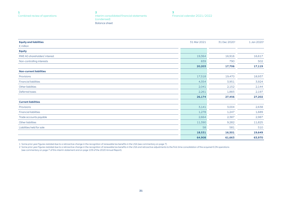**[2](#page-17-0)** [Interim consolidated financial statements](#page-17-0)  [\(condensed\)](#page-17-0) Balance sheet

**[3](#page-22-0)** [Financial calendar 2021 / 2022](#page-22-0)

| <b>Equity and liabilities</b>  | 31 Mar 2021 | 31 Dec 2020 <sup>1</sup> | 1 Jan 2020 <sup>2</sup> |
|--------------------------------|-------------|--------------------------|-------------------------|
| $\epsilon$ million             |             |                          |                         |
| <b>Equity</b>                  |             |                          |                         |
| RWE AG shareholders' interest  | 19,364      | 16,916                   | 16,617                  |
| Non-controlling interests      | 839         | 790                      | 502                     |
|                                | 20,203      | 17,706                   | 17,119                  |
| <b>Non-current liabilities</b> |             |                          |                         |
| Provisions                     | 17,518      | 19,470                   | 18,937                  |
| <b>Financial liabilities</b>   | 4,354       | 3,951                    | 3,924                   |
| Other liabilities              | 2,041       | 2,152                    | 2,144                   |
| Deferred taxes                 | 2,261       | 1,883                    | 2,197                   |
|                                | 26,174      | 27,456                   | 27,202                  |
| <b>Current liabilities</b>     |             |                          |                         |
| Provisions                     | 3,141       | 3,004                    | 2,638                   |
| <b>Financial liabilities</b>   | 1,278       | 1,247                    | 1,689                   |
| Trade accounts payable         | 2,664       | 2,387                    | 2,987                   |
| Other liabilities              | 11,390      | 9,282                    | 11,825                  |
| Liabilities held for sale      | 58          | 581                      | 510                     |
|                                | 18,531      | 16,501                   | 19,649                  |
|                                | 64,908      | 61,663                   | 63,970                  |

1 Some prior-year figures restated due to a retroactive change in the recognition of renewable tax benefits in the USA (see commentary on [page 7](#page-6-0)).

2 Some prior-year figures restated due to a retroactive change in the recognition of renewable tax benefits in the USA and retroactive adjustments to the first-time consolidation of the acquired E.ON operations (see commentary on [page 7](#page-6-0) of this interim statement and on page 109 of the 2020 Annual Report).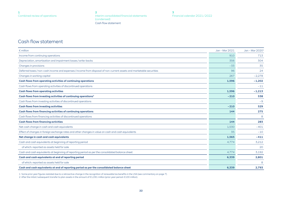**[2](#page-17-0)** [Interim consolidated financial statements](#page-17-0)  [\(condensed\)](#page-17-0) Cash flow statement

## <span id="page-21-0"></span>Cash flow statement

| $\epsilon$ million                                                                                                   | Jan - Mar 2021 | Jan - Mar 2020 <sup>1</sup> |
|----------------------------------------------------------------------------------------------------------------------|----------------|-----------------------------|
| Income from continuing operations                                                                                    | 910            | 713                         |
| Depreciation, amortisation and impairment losses / write-backs                                                       | 356            | 304                         |
| Changes in provisions                                                                                                | $-33$          | 35                          |
| Deferred taxes / non-cash income and expenses / income from disposal of non-current assets and marketable securities | 96             | 24                          |
| Changes in working capital                                                                                           | 267            | $-2,278$                    |
| Cash flows from operating activities of continuing operations                                                        | 1,596          | $-1,202$                    |
| Cash flows from operating activities of discontinued operations                                                      |                | $-11$                       |
| <b>Cash flows from operating activities</b>                                                                          | 1,596          | $-1,213$                    |
| Cash flows from investing activities of continuing operations <sup>2</sup>                                           | $-210$         | 538                         |
| Cash flows from investing activities of discontinued operations                                                      |                | $-9$                        |
| <b>Cash flows from investing activities</b>                                                                          | $-210$         | 529                         |
| Cash flows from financing activities of continuing operations                                                        | 144            | 275                         |
| Cash flows from financing activities of discontinued operations                                                      |                | 8                           |
| <b>Cash flows from financing activities</b>                                                                          | 144            | 283                         |
| Net cash change in cash and cash equivalents                                                                         | 1,530          | $-401$                      |
| Effect of changes in foreign exchange rates and other changes in value on cash and cash equivalents                  | 35             | $-10$                       |
| Net change in cash and cash equivalents                                                                              | 1,565          | $-411$                      |
| Cash and cash equivalents at beginning of reporting period                                                           | 4,774          | 3,212                       |
| of which: reported as assets held for sale                                                                           |                | 20                          |
| Cash and cash equivalents at beginning of reporting period as per the consolidated balance sheet                     | 4,774          | 3,192                       |
| Cash and cash equivalents at end of reporting period                                                                 | 6,339          | 2,801                       |
| of which: reported as assets held for sale                                                                           |                | 8                           |
| Cash and cash equivalents at end of reporting period as per the consolidated balance sheet                           | 6.339          | 2,793                       |

1 Some prior-year figures restated due to a retroactive change in the recognition of renewable tax benefits in the USA (see commentary on [page 7](#page-6-0)).

2 After the initial / subsequent transfer to plan assets in the amount of €1,091 million (prior-year period: €100 million).